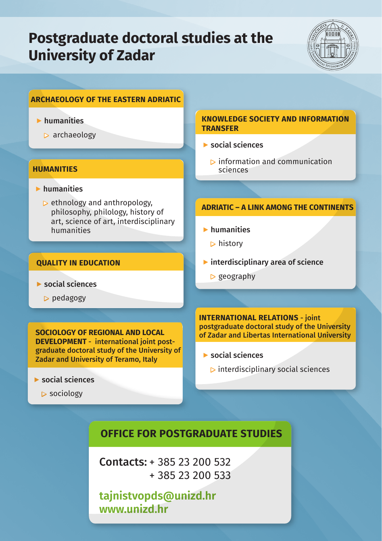# **Postgraduate doctoral studies at the University of Zadar**



# **ARCHAEOLOGY OF THE EASTERN ADRIATIC**

# $\blacktriangleright$  humanities

 $\triangleright$  archaeology

#### **HUMANITIES**

- ▶ humanities
	- $\triangleright$  ethnology and anthropology, philosophy, philology, history of art, science of art, interdisciplinary humanities

#### **QUALITY IN EDUCATION**

- ▶ social sciences
	- ▶ pedagogy

**SOCIOLOGY OF REGIONAL AND LOCAL DEVELOPMENT** - international joint postgraduate doctoral study of the University of Zadar and University of Teramo, Italy

- $\blacktriangleright$  social sciences
	- ▶ sociology

#### **KNOWLEDGE SOCIETY AND INFORMATION TRANSFER**

- $\blacktriangleright$  social sciences
	- $\triangleright$  information and communication sciences

## **ADRIATIC – A LINK AMONG THE CONTINENTS**

- ▶ humanities
	- $\triangleright$  history
- $\blacktriangleright$  interdisciplinary area of science
	- $\triangleright$  geography

**INTERNATIONAL RELATIONS** - joint postgraduate doctoral study of the University of Zadar and Libertas International University

- $\blacktriangleright$  social sciences
	- $\triangleright$  interdisciplinary social sciences

# **OFFICE FOR POSTGRADUATE STUDIES**

Contacts: + 385 23 200 532 + 385 23 200 533

**tajnistvopds@unizd.hr www.unizd.hr**